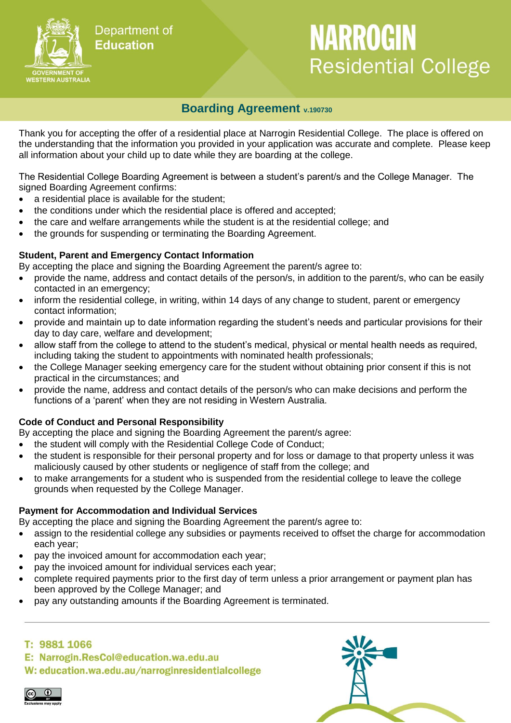

# Department of **Education**

# **NARROGIN Residential College**

# **Boarding Agreement v.190730**

Thank you for accepting the offer of a residential place at Narrogin Residential College. The place is offered on the understanding that the information you provided in your application was accurate and complete. Please keep all information about your child up to date while they are boarding at the college.

The Residential College Boarding Agreement is between a student's parent/s and the College Manager. The signed Boarding Agreement confirms:

- a residential place is available for the student;
- the conditions under which the residential place is offered and accepted;
- the care and welfare arrangements while the student is at the residential college; and
- the grounds for suspending or terminating the Boarding Agreement.

#### **Student, Parent and Emergency Contact Information**

By accepting the place and signing the Boarding Agreement the parent/s agree to:

- provide the name, address and contact details of the person/s, in addition to the parent/s, who can be easily contacted in an emergency;
- inform the residential college, in writing, within 14 days of any change to student, parent or emergency contact information;
- provide and maintain up to date information regarding the student's needs and particular provisions for their day to day care, welfare and development;
- allow staff from the college to attend to the student's medical, physical or mental health needs as required, including taking the student to appointments with nominated health professionals;
- the College Manager seeking emergency care for the student without obtaining prior consent if this is not practical in the circumstances; and
- provide the name, address and contact details of the person/s who can make decisions and perform the functions of a 'parent' when they are not residing in Western Australia.

### **Code of Conduct and Personal Responsibility**

By accepting the place and signing the Boarding Agreement the parent/s agree:

- the student will comply with the Residential College Code of Conduct;
- the student is responsible for their personal property and for loss or damage to that property unless it was maliciously caused by other students or negligence of staff from the college; and
- to make arrangements for a student who is suspended from the residential college to leave the college grounds when requested by the College Manager.

### **Payment for Accommodation and Individual Services**

By accepting the place and signing the Boarding Agreement the parent/s agree to:

- assign to the residential college any subsidies or payments received to offset the charge for accommodation each year;
- pay the invoiced amount for accommodation each year;
- pay the invoiced amount for individual services each year;
- complete required payments prior to the first day of term unless a prior arrangement or payment plan has been approved by the College Manager; and
- pay any outstanding amounts if the Boarding Agreement is terminated.

## T: 9881 1066

E: Narrogin.ResCol@education.wa.edu.au

W: education.wa.edu.au/narroginresidentialcollege

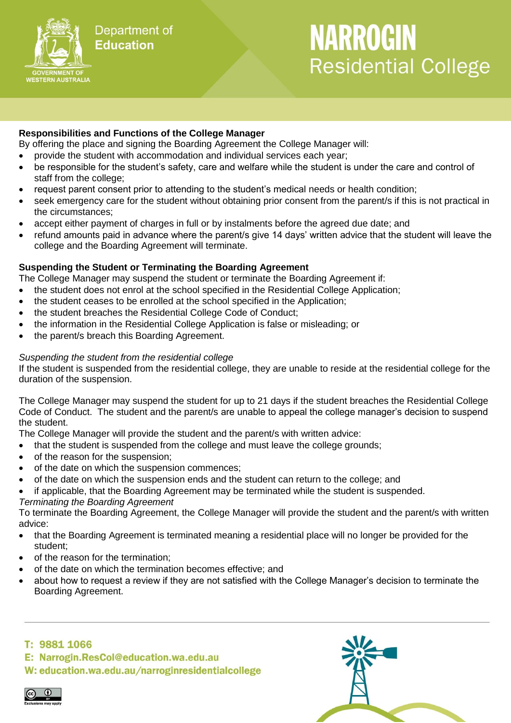

# **NARROGIN Residential College**

#### **Responsibilities and Functions of the College Manager**

By offering the place and signing the Boarding Agreement the College Manager will:

- provide the student with accommodation and individual services each year;
- be responsible for the student's safety, care and welfare while the student is under the care and control of staff from the college;
- request parent consent prior to attending to the student's medical needs or health condition;
- seek emergency care for the student without obtaining prior consent from the parent/s if this is not practical in the circumstances;
- accept either payment of charges in full or by instalments before the agreed due date; and
- refund amounts paid in advance where the parent/s give 14 days' written advice that the student will leave the college and the Boarding Agreement will terminate.

#### **Suspending the Student or Terminating the Boarding Agreement**

The College Manager may suspend the student or terminate the Boarding Agreement if:

- the student does not enrol at the school specified in the Residential College Application;
- the student ceases to be enrolled at the school specified in the Application;
- the student breaches the Residential College Code of Conduct;
- the information in the Residential College Application is false or misleading; or
- the parent/s breach this Boarding Agreement.

#### *Suspending the student from the residential college*

If the student is suspended from the residential college, they are unable to reside at the residential college for the duration of the suspension.

The College Manager may suspend the student for up to 21 days if the student breaches the Residential College Code of Conduct. The student and the parent/s are unable to appeal the college manager's decision to suspend the student.

The College Manager will provide the student and the parent/s with written advice:

- that the student is suspended from the college and must leave the college grounds;
- of the reason for the suspension;
- of the date on which the suspension commences;
- of the date on which the suspension ends and the student can return to the college; and
- if applicable, that the Boarding Agreement may be terminated while the student is suspended.

# *Terminating the Boarding Agreement*

To terminate the Boarding Agreement, the College Manager will provide the student and the parent/s with written advice:

- that the Boarding Agreement is terminated meaning a residential place will no longer be provided for the student;
- of the reason for the termination;
- of the date on which the termination becomes effective; and
- about how to request a review if they are not satisfied with the College Manager's decision to terminate the Boarding Agreement.

## T: 9881 1066

E: Narrogin.ResCol@education.wa.edu.au